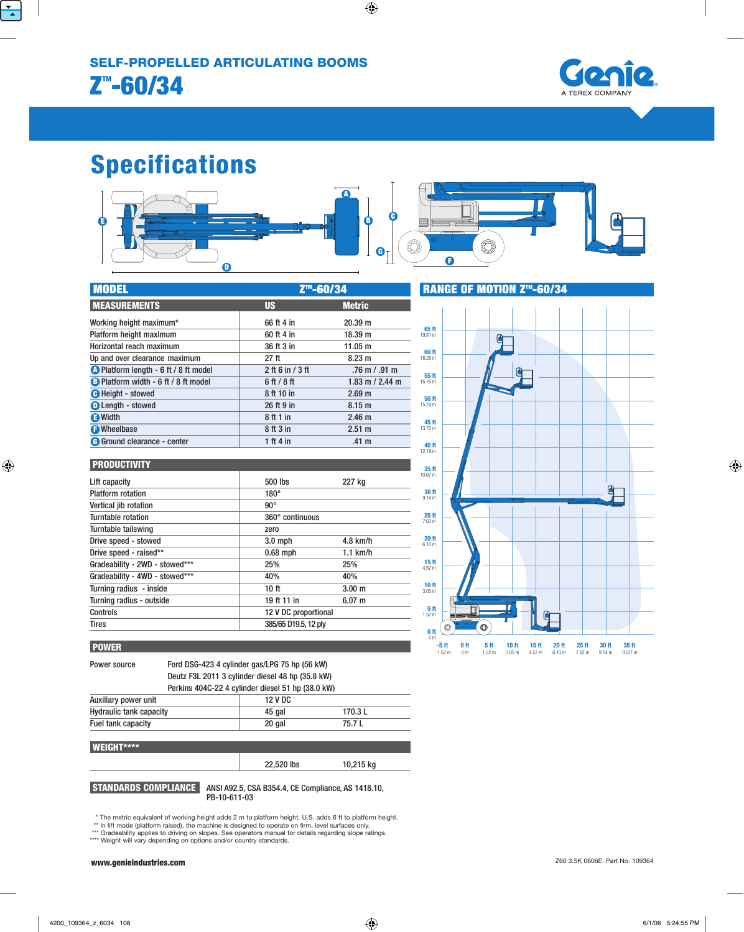

# Specifications



| <b>MODEL</b>                                 | Z <sup>™</sup> -60/34 |                   |  |
|----------------------------------------------|-----------------------|-------------------|--|
| <b>MEASUREMENTS</b>                          | <b>US</b>             | <b>Metric</b>     |  |
| Working height maximum*                      | 66 ft 4 in            | 20.39 m           |  |
| Platform height maximum                      | 60 ft 4 in            | 18.39 m           |  |
| Horizontal reach maximum                     | 36 ft 3 in            | 11.05 m           |  |
| Up and over clearance maximum                | 27 ft                 | 8.23 m            |  |
| <b>A</b> Platform length - 6 ft / 8 ft model | $2$ ft 6 in / 3 ft    | $.76$ m $/$ .91 m |  |
| B Platform width - 6 ft / 8 ft model         | $6$ ft $/$ 8 ft       | 1.83 m / 2.44 m   |  |
| <b>O</b> Height - stowed                     | 8 ft 10 in            | 2.69 <sub>m</sub> |  |
| <b>O</b> Length - stowed                     | 26 ft 9 in            | 8.15 <sub>m</sub> |  |
| <b>B</b> Width                               | 8 ft 1 in             | 2.46 <sub>m</sub> |  |
| <b>O</b> Wheelbase                           | 8 ft 3 in             | 2.51 m            |  |
| <b>G</b> Ground clearance - center           | 1 ft 4 in             | .41 <sub>m</sub>  |  |

| <b>PRODUCTIVITY</b>            |                      |                   |
|--------------------------------|----------------------|-------------------|
| Lift capacity                  | 500 lbs              | 227 kg            |
| <b>Platform rotation</b>       | $180^\circ$          |                   |
| Vertical jib rotation          | $90^{\circ}$         |                   |
| Turntable rotation             | 360° continuous      |                   |
| Turntable tailswing            | zero                 |                   |
| Drive speed - stowed           | $3.0$ mph            | $4.8$ km/h        |
| Drive speed - raised**         | $0.68$ mph           | $1.1$ km/h        |
| Gradeability - 2WD - stowed*** | 25%                  | 25%               |
| Gradeability - 4WD - stowed*** | 40%                  | 40%               |
| Turning radius - inside        | 10 <sub>ft</sub>     | 3.00 <sub>m</sub> |
| Turning radius - outside       | 19 ft 11 in          | 6.07 m            |
| Controls                       | 12 V DC proportional |                   |
| <b>Tires</b>                   | 385/65 D19.5, 12 ply |                   |

## **POWER**

Power source Ford DSG-423 4 cylinder gas/LPG 75 hp (56 kW) Deutz F3L 2011 3 cylinder diesel 48 hp (35.8 kW) Perkins 404C-22 4 cylinder diesel 51 hp (38.0 kW)

| Auxiliary power unit           | 12 V DC |         |
|--------------------------------|---------|---------|
| <b>Hydraulic tank capacity</b> | 45 gal  | 170.3 L |
| Fuel tank capacity             | 20 gal  | 75.7 L  |
|                                |         |         |

#### WEIGHT\*\*\*\* 22,520 lbs 10,215 kg

 STANDARDS COMPlIANCE ANSI A92.5, CSA B354.4, CE Compliance, AS 1418.10, PB-10-611-03

\* The metric equivalent of working height adds 2 m to platform height. U.S. adds 6 ft to platform height. \*\* In lift mode (platform raised), the machine is designed to operate on firm, level surfaces only.

\*\*\* Gradeability applies to driving on slopes. See operators manual for details regarding slope ratings. \*\*\*\* Weight will vary depending on options and/or country standards.